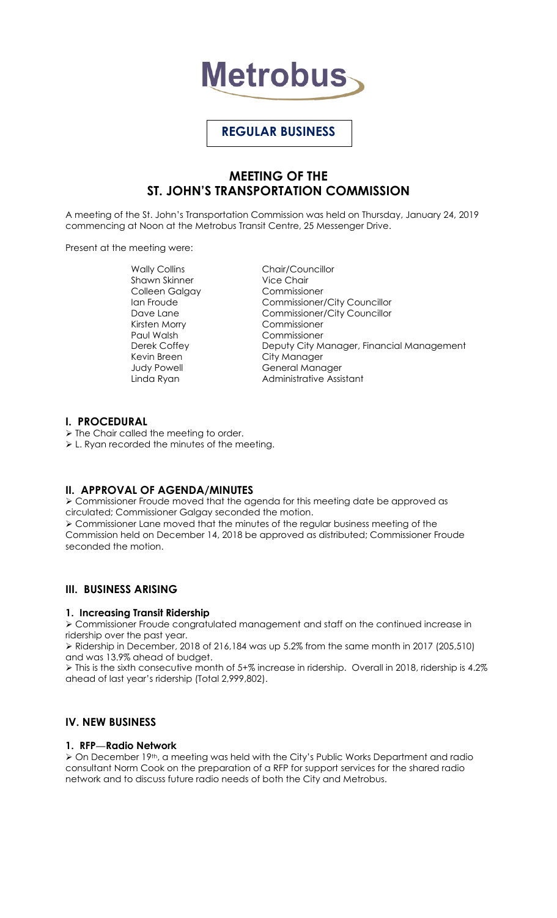

# **REGULAR BUSINESS**

# **MEETING OF THE ST. JOHN'S TRANSPORTATION COMMISSION**

A meeting of the St. John's Transportation Commission was held on Thursday, January 24, 2019 commencing at Noon at the Metrobus Transit Centre, 25 Messenger Drive.

Present at the meeting were:

Shawn Skinner Vice Chair Colleen Galgay Commissioner Kirsten Morry Commissioner Paul Walsh Commissioner Kevin Breen City Manager

Wally Collins **Chair/Councillor** Ian Froude **Commissioner/City Councillor** Dave Lane **Commissioner/City Councillor** Derek Coffey **Deputy City Manager, Financial Management** Judy Powell **General Manager** Linda Ryan **Administrative Assistant** 

### **I. PROCEDURAL**

 $\triangleright$  The Chair called the meeting to order.

L. Ryan recorded the minutes of the meeting.

## **II. APPROVAL OF AGENDA/MINUTES**

 Commissioner Froude moved that the agenda for this meeting date be approved as circulated; Commissioner Galgay seconded the motion.

 Commissioner Lane moved that the minutes of the regular business meeting of the Commission held on December 14, 2018 be approved as distributed; Commissioner Froude seconded the motion.

## **III. BUSINESS ARISING**

### **1. Increasing Transit Ridership**

 Commissioner Froude congratulated management and staff on the continued increase in ridership over the past year.

 Ridership in December, 2018 of 216,184 was up 5.2% from the same month in 2017 (205,510) and was 13.9% ahead of budget.

 This is the sixth consecutive month of 5+% increase in ridership. Overall in 2018, ridership is 4.2% ahead of last year's ridership (Total 2,999,802).

## **IV. NEW BUSINESS**

### **1. RFP—Radio Network**

 On December 19th, a meeting was held with the City's Public Works Department and radio consultant Norm Cook on the preparation of a RFP for support services for the shared radio network and to discuss future radio needs of both the City and Metrobus.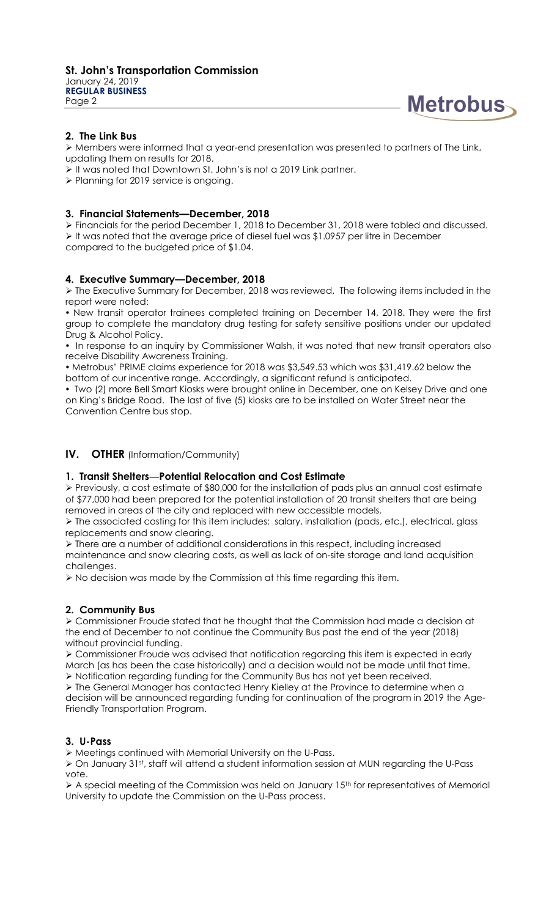

### **2. The Link Bus**

 $\triangleright$  Members were informed that a year-end presentation was presented to partners of The Link, updating them on results for 2018.

- It was noted that Downtown St. John's is not a 2019 Link partner.
- > Planning for 2019 service is ongoing.

#### **3. Financial Statements—December, 2018**

 Financials for the period December 1, 2018 to December 31, 2018 were tabled and discussed.  $\triangleright$  It was noted that the average price of diesel fuel was \$1.0957 per litre in December compared to the budgeted price of \$1.04.

#### **4. Executive Summary—December, 2018**

 The Executive Summary for December, 2018 was reviewed. The following items included in the report were noted:

 New transit operator trainees completed training on December 14, 2018. They were the first group to complete the mandatory drug testing for safety sensitive positions under our updated Drug & Alcohol Policy.

• In response to an inquiry by Commissioner Walsh, it was noted that new transit operators also receive Disability Awareness Training.

 Metrobus' PRIME claims experience for 2018 was \$3,549.53 which was \$31,419.62 below the bottom of our incentive range. Accordingly, a significant refund is anticipated.

 Two (2) more Bell Smart Kiosks were brought online in December, one on Kelsey Drive and one on King's Bridge Road. The last of five (5) kiosks are to be installed on Water Street near the Convention Centre bus stop.

### **IV. OTHER** (Information/Community)

### **1. Transit Shelters—Potential Relocation and Cost Estimate**

 Previously, a cost estimate of \$80,000 for the installation of pads plus an annual cost estimate of \$77,000 had been prepared for the potential installation of 20 transit shelters that are being removed in areas of the city and replaced with new accessible models.

 $\triangleright$  The associated costing for this item includes: salary, installation (pads, etc.), electrical, glass replacements and snow clearing.

 $\triangleright$  There are a number of additional considerations in this respect, including increased maintenance and snow clearing costs, as well as lack of on-site storage and land acquisition challenges.

No decision was made by the Commission at this time regarding this item.

### **2. Community Bus**

 Commissioner Froude stated that he thought that the Commission had made a decision at the end of December to not continue the Community Bus past the end of the year (2018) without provincial funding.

 Commissioner Froude was advised that notification regarding this item is expected in early March (as has been the case historically) and a decision would not be made until that time.  $\triangleright$  Notification regarding funding for the Community Bus has not yet been received.

 The General Manager has contacted Henry Kielley at the Province to determine when a decision will be announced regarding funding for continuation of the program in 2019 the Age-Friendly Transportation Program.

#### **3. U-Pass**

Meetings continued with Memorial University on the U-Pass.

 $\triangleright$  On January 31st, staff will attend a student information session at MUN regarding the U-Pass vote.

 $\triangleright$  A special meeting of the Commission was held on January 15<sup>th</sup> for representatives of Memorial University to update the Commission on the U-Pass process.